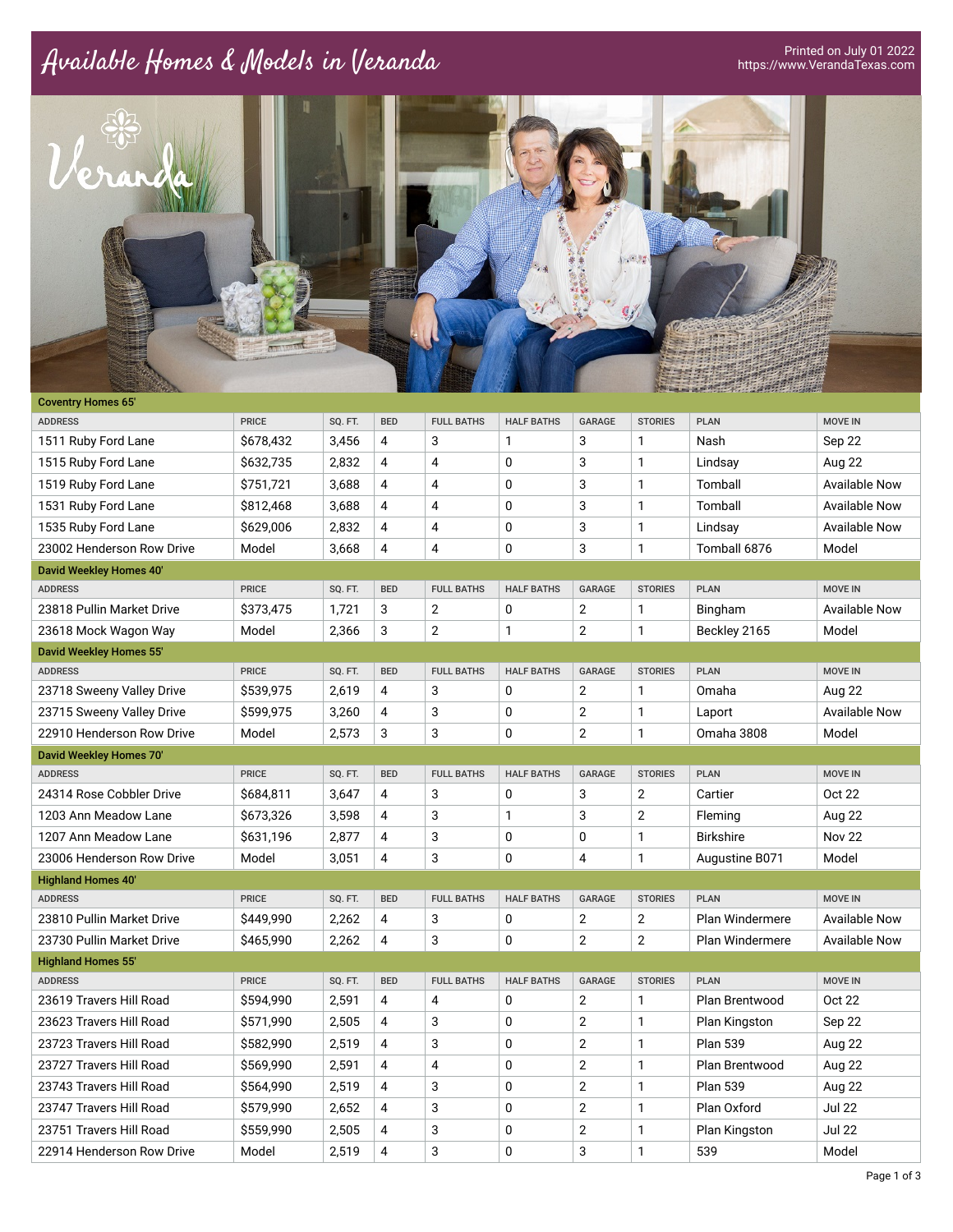## Available Homes & Models in Veranda



| <b>Coventry Homes 65'</b>      |              |         |            |                   |                   |                |                |                        |                      |
|--------------------------------|--------------|---------|------------|-------------------|-------------------|----------------|----------------|------------------------|----------------------|
| <b>ADDRESS</b>                 | <b>PRICE</b> | SQ. FT. | <b>BED</b> | <b>FULL BATHS</b> | <b>HALF BATHS</b> | <b>GARAGE</b>  | <b>STORIES</b> | <b>PLAN</b>            | <b>MOVE IN</b>       |
| 1511 Ruby Ford Lane            | \$678,432    | 3,456   | 4          | 3                 | 1                 | 3              | $\mathbf{1}$   | Nash                   | Sep 22               |
| 1515 Ruby Ford Lane            | \$632,735    | 2,832   | 4          | $\overline{4}$    | 0                 | 3              | $\mathbf{1}$   | Lindsay                | Aug 22               |
| 1519 Ruby Ford Lane            | \$751,721    | 3,688   | 4          | $\overline{4}$    | 0                 | 3              | $\mathbf{1}$   | Tomball                | <b>Available Now</b> |
| 1531 Ruby Ford Lane            | \$812,468    | 3,688   | 4          | 4                 | 0                 | 3              | $\mathbf{1}$   | Tomball                | <b>Available Now</b> |
| 1535 Ruby Ford Lane            | \$629,006    | 2,832   | 4          | $\overline{4}$    | 0                 | 3              | $\mathbf{1}$   | Lindsay                | <b>Available Now</b> |
| 23002 Henderson Row Drive      | Model        | 3,668   | 4          | $\overline{4}$    | 0                 | 3              | $\mathbf{1}$   | Tomball 6876           | Model                |
| David Weekley Homes 40'        |              |         |            |                   |                   |                |                |                        |                      |
| <b>ADDRESS</b>                 | <b>PRICE</b> | SQ. FT. | <b>BED</b> | <b>FULL BATHS</b> | <b>HALF BATHS</b> | <b>GARAGE</b>  | <b>STORIES</b> | <b>PLAN</b>            | <b>MOVE IN</b>       |
| 23818 Pullin Market Drive      | \$373,475    | 1,721   | 3          | $\overline{2}$    | 0                 | $\overline{2}$ | 1              | Bingham                | Available Now        |
| 23618 Mock Wagon Way           | Model        | 2,366   | 3          | $\overline{2}$    | 1                 | 2              | $\mathbf{1}$   | Beckley 2165           | Model                |
| <b>David Weekley Homes 55'</b> |              |         |            |                   |                   |                |                |                        |                      |
| <b>ADDRESS</b>                 | <b>PRICE</b> | SQ. FT. | <b>BED</b> | <b>FULL BATHS</b> | <b>HALF BATHS</b> | <b>GARAGE</b>  | <b>STORIES</b> | <b>PLAN</b>            | <b>MOVE IN</b>       |
| 23718 Sweeny Valley Drive      | \$539,975    | 2,619   | 4          | 3                 | 0                 | 2              | $\mathbf{1}$   | Omaha                  | <b>Aug 22</b>        |
| 23715 Sweeny Valley Drive      | \$599,975    | 3,260   | 4          | 3                 | 0                 | $\overline{2}$ | $\mathbf{1}$   | Laport                 | <b>Available Now</b> |
| 22910 Henderson Row Drive      | Model        | 2,573   | 3          | 3                 | 0                 | 2              | $\mathbf{1}$   | <b>Omaha 3808</b>      | Model                |
| David Weekley Homes 70'        |              |         |            |                   |                   |                |                |                        |                      |
| <b>ADDRESS</b>                 | <b>PRICE</b> | SQ. FT. | <b>BED</b> | <b>FULL BATHS</b> | <b>HALF BATHS</b> | <b>GARAGE</b>  | <b>STORIES</b> | <b>PLAN</b>            | <b>MOVE IN</b>       |
| 24314 Rose Cobbler Drive       | \$684,811    | 3.647   | 4          | 3                 | 0                 | 3              | $\overline{2}$ | Cartier                | Oct 22               |
| 1203 Ann Meadow Lane           | \$673,326    | 3,598   | 4          | 3                 | 1                 | 3              | $\overline{2}$ | Fleming                | Aug 22               |
| 1207 Ann Meadow Lane           | \$631,196    | 2,877   | 4          | 3                 | 0                 | 0              | $\mathbf{1}$   | <b>Birkshire</b>       | <b>Nov 22</b>        |
| 23006 Henderson Row Drive      | Model        | 3,051   | 4          | 3                 | 0                 | 4              | $\mathbf{1}$   | Augustine B071         | Model                |
| <b>Highland Homes 40'</b>      |              |         |            |                   |                   |                |                |                        |                      |
| <b>ADDRESS</b>                 | <b>PRICE</b> | SQ. FT. | <b>BED</b> | <b>FULL BATHS</b> | <b>HALF BATHS</b> | <b>GARAGE</b>  | <b>STORIES</b> | <b>PLAN</b>            | <b>MOVE IN</b>       |
| 23810 Pullin Market Drive      | \$449,990    | 2,262   | 4          | 3                 | 0                 | $\overline{2}$ | $\overline{2}$ | Plan Windermere        | <b>Available Now</b> |
| 23730 Pullin Market Drive      | \$465.990    | 2,262   | 4          | 3                 | 0                 | $\overline{2}$ | $\overline{2}$ | <b>Plan Windermere</b> | Available Now        |
| <b>Highland Homes 55'</b>      |              |         |            |                   |                   |                |                |                        |                      |
| <b>ADDRESS</b>                 | <b>PRICE</b> | SQ. FT. | <b>BED</b> | <b>FULL BATHS</b> | <b>HALF BATHS</b> | <b>GARAGE</b>  | <b>STORIES</b> | <b>PLAN</b>            | <b>MOVE IN</b>       |
| 23619 Travers Hill Road        | \$594,990    | 2,591   | 4          | 4                 | 0                 | $\overline{2}$ | $\mathbf{1}$   | <b>Plan Brentwood</b>  | Oct 22               |
| 23623 Travers Hill Road        | \$571,990    | 2,505   | 4          | 3                 | 0                 | 2              | $\mathbf{1}$   | Plan Kingston          | Sep 22               |
| 23723 Travers Hill Road        | \$582,990    | 2,519   | 4          | 3                 | 0                 | $\overline{2}$ | $\mathbf{1}$   | <b>Plan 539</b>        | Aug 22               |
| 23727 Travers Hill Road        | \$569,990    | 2,591   | 4          | 4                 | 0                 | $\overline{2}$ | $\mathbf{1}$   | Plan Brentwood         | <b>Aug 22</b>        |
| 23743 Travers Hill Road        | \$564,990    | 2,519   | 4          | 3                 | 0                 | $\overline{2}$ | $\mathbf{1}$   | <b>Plan 539</b>        | Aug 22               |
| 23747 Travers Hill Road        | \$579,990    | 2,652   | 4          | 3                 | 0                 | $\mathbf{2}$   | $\mathbf{1}$   | Plan Oxford            | <b>Jul 22</b>        |
| 23751 Travers Hill Road        | \$559,990    | 2,505   | 4          | 3                 | 0                 | 2              | $\mathbf{1}$   | Plan Kingston          | <b>Jul 22</b>        |
| 22914 Henderson Row Drive      | Model        | 2,519   | 4          | 3                 | 0                 | 3              | $\mathbf{1}$   | 539                    | Model                |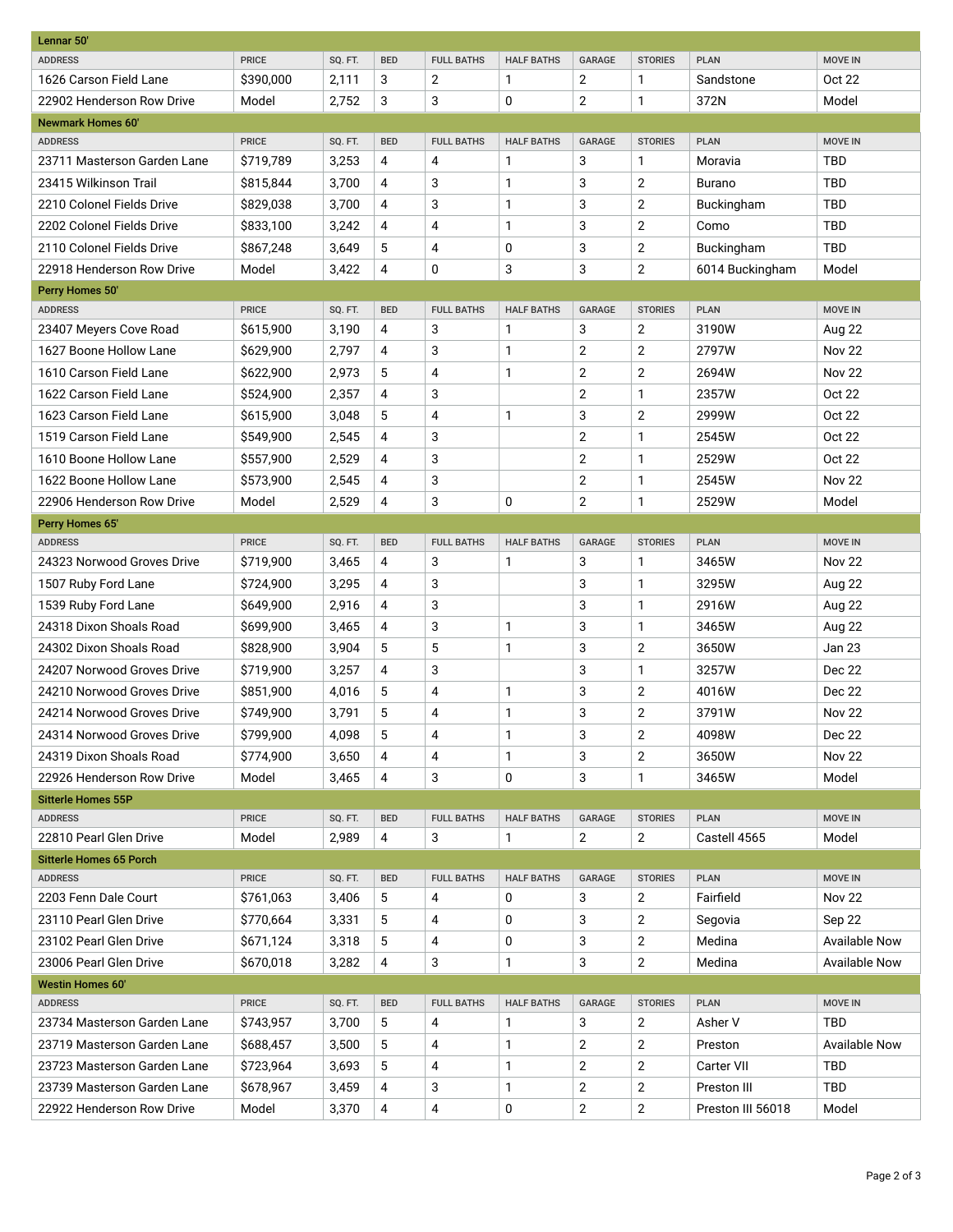| Lennar 50'                     |              |         |                |                   |                   |                |                |                   |                      |  |
|--------------------------------|--------------|---------|----------------|-------------------|-------------------|----------------|----------------|-------------------|----------------------|--|
| <b>ADDRESS</b>                 | <b>PRICE</b> | SQ. FT. | <b>BED</b>     | <b>FULL BATHS</b> | <b>HALF BATHS</b> | <b>GARAGE</b>  | <b>STORIES</b> | <b>PLAN</b>       | <b>MOVE IN</b>       |  |
| 1626 Carson Field Lane         | \$390,000    | 2,111   | 3              | $\overline{2}$    | $\mathbf{1}$      | $\overline{2}$ | 1              | Sandstone         | Oct 22               |  |
| 22902 Henderson Row Drive      | Model        | 2,752   | 3              | 3                 | 0                 | $\overline{2}$ | 1              | 372N              | Model                |  |
| <b>Newmark Homes 60'</b>       |              |         |                |                   |                   |                |                |                   |                      |  |
| <b>ADDRESS</b>                 | <b>PRICE</b> | SQ. FT. | <b>BED</b>     | <b>FULL BATHS</b> | <b>HALF BATHS</b> | <b>GARAGE</b>  | <b>STORIES</b> | <b>PLAN</b>       | <b>MOVE IN</b>       |  |
| 23711 Masterson Garden Lane    | \$719,789    | 3,253   | 4              | 4                 | 1                 | 3              | $\mathbf{1}$   | Moravia           | <b>TBD</b>           |  |
| 23415 Wilkinson Trail          | \$815,844    | 3,700   | 4              | 3                 | $\mathbf{1}$      | 3              | 2              | Burano            | <b>TBD</b>           |  |
| 2210 Colonel Fields Drive      | \$829,038    | 3,700   | 4              | 3                 | $\mathbf{1}$      | 3              | $\overline{2}$ | Buckingham        | <b>TBD</b>           |  |
| 2202 Colonel Fields Drive      | \$833,100    | 3,242   | $\overline{4}$ | 4                 | 1                 | 3              | $\overline{2}$ | Como              | <b>TBD</b>           |  |
| 2110 Colonel Fields Drive      | \$867,248    | 3,649   | 5              | 4                 | 0                 | 3              | $\overline{2}$ | Buckingham        | <b>TBD</b>           |  |
| 22918 Henderson Row Drive      | Model        | 3,422   | $\overline{4}$ | $\mathbf 0$       | 3                 | 3              | $\overline{2}$ | 6014 Buckingham   | Model                |  |
| Perry Homes 50'                |              |         |                |                   |                   |                |                |                   |                      |  |
| <b>ADDRESS</b>                 | <b>PRICE</b> | SQ. FT. | <b>BED</b>     | <b>FULL BATHS</b> | <b>HALF BATHS</b> | GARAGE         | <b>STORIES</b> | <b>PLAN</b>       | <b>MOVE IN</b>       |  |
| 23407 Meyers Cove Road         | \$615,900    | 3,190   | 4              | 3                 | 1                 | 3              | 2              | 3190W             | Aug 22               |  |
| 1627 Boone Hollow Lane         | \$629,900    | 2,797   | 4              | 3                 | $\mathbf{1}$      | $\overline{2}$ | $\overline{2}$ | 2797W             | <b>Nov 22</b>        |  |
| 1610 Carson Field Lane         | \$622,900    | 2,973   | 5              | 4                 | $\mathbf{1}$      | $\overline{2}$ | $\overline{2}$ | 2694W             | <b>Nov 22</b>        |  |
| 1622 Carson Field Lane         | \$524,900    | 2,357   | 4              | 3                 |                   | $\overline{2}$ | $\mathbf{1}$   | 2357W             | Oct 22               |  |
| 1623 Carson Field Lane         | \$615,900    | 3,048   | 5              | 4                 | $\mathbf{1}$      | 3              | $\overline{2}$ | 2999W             | Oct 22               |  |
| 1519 Carson Field Lane         | \$549,900    | 2,545   | $\overline{4}$ | 3                 |                   | $\overline{2}$ | $\mathbf{1}$   | 2545W             | Oct 22               |  |
| 1610 Boone Hollow Lane         | \$557,900    | 2,529   | 4              | 3                 |                   | $\overline{2}$ | 1              | 2529W             | Oct 22               |  |
| 1622 Boone Hollow Lane         | \$573,900    | 2,545   | 4              | 3                 |                   | $\overline{2}$ | 1              | 2545W             | <b>Nov 22</b>        |  |
| 22906 Henderson Row Drive      | Model        | 2,529   | $\overline{4}$ | 3                 | $\mathbf 0$       | $\overline{2}$ | 1              | 2529W             | Model                |  |
| Perry Homes 65'                |              |         |                |                   |                   |                |                |                   |                      |  |
| <b>ADDRESS</b>                 | <b>PRICE</b> | SQ. FT. | <b>BED</b>     | <b>FULL BATHS</b> | <b>HALF BATHS</b> | GARAGE         | <b>STORIES</b> | <b>PLAN</b>       | <b>MOVE IN</b>       |  |
| 24323 Norwood Groves Drive     | \$719,900    | 3,465   | 4              | 3                 | 1                 | 3              | 1              | 3465W             | <b>Nov 22</b>        |  |
| 1507 Ruby Ford Lane            | \$724,900    | 3,295   | 4              | 3                 |                   | 3              | $\mathbf{1}$   | 3295W             | <b>Aug 22</b>        |  |
| 1539 Ruby Ford Lane            | \$649,900    | 2,916   | 4              | 3                 |                   | 3              | $\mathbf{1}$   | 2916W             | Aug 22               |  |
| 24318 Dixon Shoals Road        | \$699,900    | 3,465   | 4              | 3                 | $\mathbf{1}$      | 3              | $\mathbf{1}$   | 3465W             | Aug 22               |  |
| 24302 Dixon Shoals Road        | \$828,900    | 3,904   | 5              | 5                 | $\mathbf{1}$      | 3              | $\overline{2}$ | 3650W             | <b>Jan 23</b>        |  |
| 24207 Norwood Groves Drive     | \$719,900    | 3,257   | 4              | 3                 |                   | 3              | 1              | 3257W             | Dec 22               |  |
| 24210 Norwood Groves Drive     | \$851,900    | 4,016   | 5              | 4                 | 1                 | 3              | $\overline{2}$ | 4016W             | <b>Dec 22</b>        |  |
| 24214 Norwood Groves Drive     | \$749.900    | 3,791   | 5              | 4                 | $\mathbf{1}$      | 3              | 2              | 3791W             | <b>Nov 22</b>        |  |
| 24314 Norwood Groves Drive     | \$799,900    | 4,098   | 5              | 4                 | 1                 | 3              | 2              | 4098W             | Dec 22               |  |
| 24319 Dixon Shoals Road        | \$774,900    | 3,650   | 4              | 4                 | 1                 | 3              | $\overline{2}$ | 3650W             | <b>Nov 22</b>        |  |
| 22926 Henderson Row Drive      | Model        | 3,465   | 4              | 3                 | 0                 | 3              | 1              | 3465W             | Model                |  |
| <b>Sitterle Homes 55P</b>      |              |         |                |                   |                   |                |                |                   |                      |  |
| <b>ADDRESS</b>                 | <b>PRICE</b> | SQ. FT. | <b>BED</b>     | <b>FULL BATHS</b> | <b>HALF BATHS</b> | GARAGE         | <b>STORIES</b> | <b>PLAN</b>       | <b>MOVE IN</b>       |  |
| 22810 Pearl Glen Drive         | Model        | 2,989   | 4              | 3                 | 1                 | $\overline{2}$ | 2              | Castell 4565      | Model                |  |
| <b>Sitterle Homes 65 Porch</b> |              |         |                |                   |                   |                |                |                   |                      |  |
| <b>ADDRESS</b>                 | <b>PRICE</b> | SQ. FT. | <b>BED</b>     | <b>FULL BATHS</b> | <b>HALF BATHS</b> | GARAGE         | <b>STORIES</b> | <b>PLAN</b>       | <b>MOVE IN</b>       |  |
| 2203 Fenn Dale Court           | \$761,063    | 3,406   | 5              | 4                 | 0                 | 3              | $\overline{2}$ | Fairfield         | <b>Nov 22</b>        |  |
| 23110 Pearl Glen Drive         | \$770,664    | 3,331   | 5              | 4                 | 0                 | 3              | 2              | Segovia           | Sep 22               |  |
| 23102 Pearl Glen Drive         | \$671,124    | 3,318   | 5              | 4                 | 0                 | 3              | $\overline{2}$ | Medina            | <b>Available Now</b> |  |
| 23006 Pearl Glen Drive         | \$670,018    | 3,282   | 4              | 3                 | 1                 | 3              | $\mathbf 2$    | Medina            | <b>Available Now</b> |  |
| <b>Westin Homes 60'</b>        |              |         |                |                   |                   |                |                |                   |                      |  |
| <b>ADDRESS</b>                 | PRICE        | SQ. FT. | <b>BED</b>     | <b>FULL BATHS</b> | <b>HALF BATHS</b> | GARAGE         | <b>STORIES</b> | <b>PLAN</b>       | MOVE IN              |  |
| 23734 Masterson Garden Lane    | \$743,957    | 3,700   | 5              | 4                 | 1                 | 3              | 2              | Asher V           | <b>TBD</b>           |  |
| 23719 Masterson Garden Lane    | \$688,457    | 3,500   | 5              | 4                 | 1                 | $\overline{2}$ | $\overline{2}$ | Preston           | <b>Available Now</b> |  |
| 23723 Masterson Garden Lane    | \$723,964    | 3,693   | 5              | 4                 | 1                 | $\overline{2}$ | $\overline{2}$ | Carter VII        | <b>TBD</b>           |  |
| 23739 Masterson Garden Lane    | \$678,967    | 3,459   | 4              | 3                 | 1                 | $\overline{2}$ | $\overline{2}$ | Preston III       | <b>TBD</b>           |  |
| 22922 Henderson Row Drive      | Model        | 3,370   | 4              | 4                 | 0                 | $\mathbf{2}$   | $\mathbf 2$    | Preston III 56018 | Model                |  |